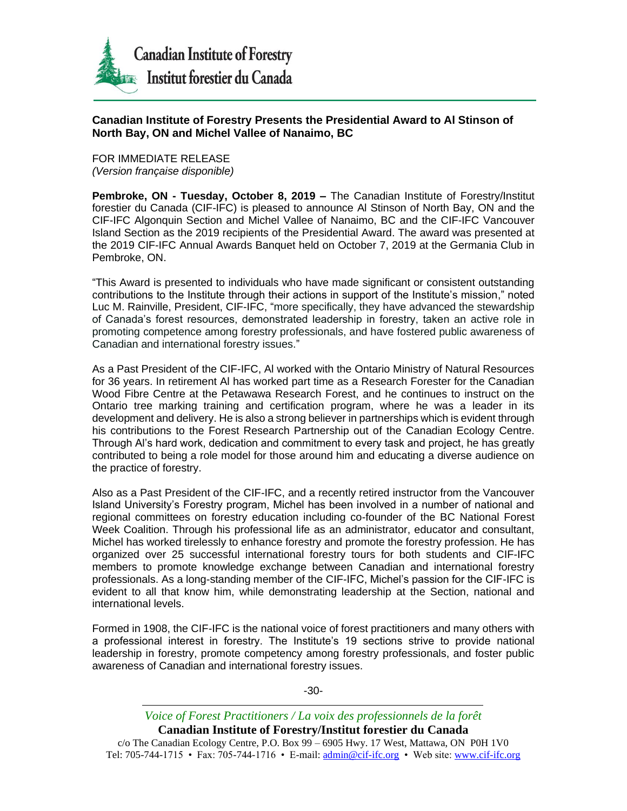

## **Canadian Institute of Forestry Presents the Presidential Award to Al Stinson of North Bay, ON and Michel Vallee of Nanaimo, BC**

FOR IMMEDIATE RELEASE *(Version française disponible)*

**Pembroke, ON - Tuesday, October 8, 2019 –** The Canadian Institute of Forestry/Institut forestier du Canada (CIF-IFC) is pleased to announce Al Stinson of North Bay, ON and the CIF-IFC Algonquin Section and Michel Vallee of Nanaimo, BC and the CIF-IFC Vancouver Island Section as the 2019 recipients of the Presidential Award. The award was presented at the 2019 CIF-IFC Annual Awards Banquet held on October 7, 2019 at the Germania Club in Pembroke, ON.

"This Award is presented to individuals who have made significant or consistent outstanding contributions to the Institute through their actions in support of the Institute's mission," noted Luc M. Rainville, President, CIF-IFC, "more specifically, they have advanced the stewardship of Canada's forest resources, demonstrated leadership in forestry, taken an active role in promoting competence among forestry professionals, and have fostered public awareness of Canadian and international forestry issues."

As a Past President of the CIF-IFC, Al worked with the Ontario Ministry of Natural Resources for 36 years. In retirement Al has worked part time as a Research Forester for the Canadian Wood Fibre Centre at the Petawawa Research Forest, and he continues to instruct on the Ontario tree marking training and certification program, where he was a leader in its development and delivery. He is also a strong believer in partnerships which is evident through his contributions to the Forest Research Partnership out of the Canadian Ecology Centre. Through Al's hard work, dedication and commitment to every task and project, he has greatly contributed to being a role model for those around him and educating a diverse audience on the practice of forestry.

Also as a Past President of the CIF-IFC, and a recently retired instructor from the Vancouver Island University's Forestry program, Michel has been involved in a number of national and regional committees on forestry education including co-founder of the BC National Forest Week Coalition. Through his professional life as an administrator, educator and consultant, Michel has worked tirelessly to enhance forestry and promote the forestry profession. He has organized over 25 successful international forestry tours for both students and CIF-IFC members to promote knowledge exchange between Canadian and international forestry professionals. As a long-standing member of the CIF-IFC, Michel's passion for the CIF-IFC is evident to all that know him, while demonstrating leadership at the Section, national and international levels.

Formed in 1908, the CIF-IFC is the national voice of forest practitioners and many others with a professional interest in forestry. The Institute's 19 sections strive to provide national leadership in forestry, promote competency among forestry professionals, and foster public awareness of Canadian and international forestry issues.

-30-

*Voice of Forest Practitioners / La voix des professionnels de la forêt* **Canadian Institute of Forestry/Institut forestier du Canada** c/o The Canadian Ecology Centre, P.O. Box 99 – 6905 Hwy. 17 West, Mattawa, ON P0H 1V0 Tel: 705-744-1715 • Fax: 705-744-1716 • E-mail[: admin@cif-ifc.org](mailto:admin@cif-ifc.org) • Web site: [www.cif-ifc.org](http://www.cif-ifc.org/)